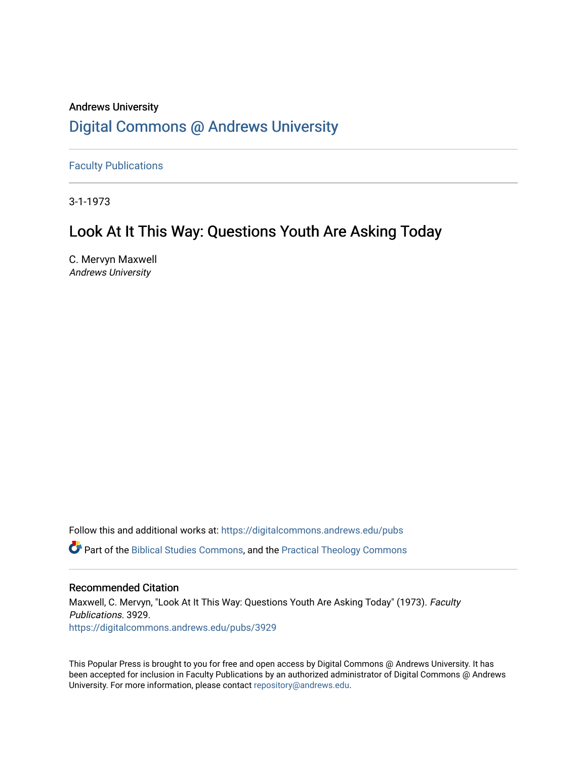## Andrews University [Digital Commons @ Andrews University](https://digitalcommons.andrews.edu/)

[Faculty Publications](https://digitalcommons.andrews.edu/pubs)

3-1-1973

## Look At It This Way: Questions Youth Are Asking Today

C. Mervyn Maxwell Andrews University

Follow this and additional works at: [https://digitalcommons.andrews.edu/pubs](https://digitalcommons.andrews.edu/pubs?utm_source=digitalcommons.andrews.edu%2Fpubs%2F3929&utm_medium=PDF&utm_campaign=PDFCoverPages)  Part of the [Biblical Studies Commons,](http://network.bepress.com/hgg/discipline/539?utm_source=digitalcommons.andrews.edu%2Fpubs%2F3929&utm_medium=PDF&utm_campaign=PDFCoverPages) and the [Practical Theology Commons](http://network.bepress.com/hgg/discipline/1186?utm_source=digitalcommons.andrews.edu%2Fpubs%2F3929&utm_medium=PDF&utm_campaign=PDFCoverPages) 

### Recommended Citation

Maxwell, C. Mervyn, "Look At It This Way: Questions Youth Are Asking Today" (1973). Faculty Publications. 3929. [https://digitalcommons.andrews.edu/pubs/3929](https://digitalcommons.andrews.edu/pubs/3929?utm_source=digitalcommons.andrews.edu%2Fpubs%2F3929&utm_medium=PDF&utm_campaign=PDFCoverPages) 

This Popular Press is brought to you for free and open access by Digital Commons @ Andrews University. It has been accepted for inclusion in Faculty Publications by an authorized administrator of Digital Commons @ Andrews University. For more information, please contact [repository@andrews.edu](mailto:repository@andrews.edu).